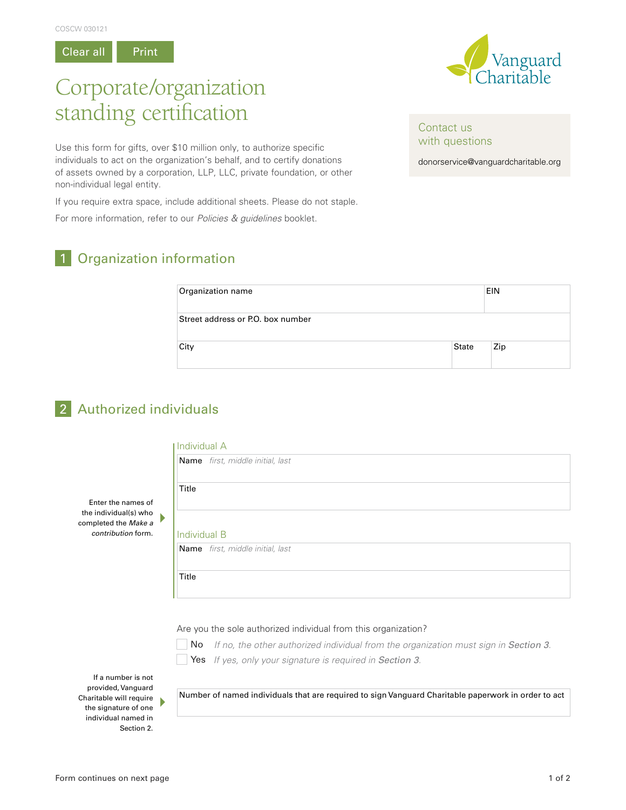Clear all Print

# Vanguard

## Corporate/organization standing certification

Use this form for gifts, over \$10 million only, to authorize specific individuals to act on the organization's behalf, and to certify donations of assets owned by a corporation, LLP, LLC, private foundation, or other non-individual legal entity.

If you require extra space, include additional sheets. Please do not staple.

For more information, refer to our *Policies & guidelines* booklet.

## 1 Organization information

| Organization name                 |       | <b>EIN</b> |
|-----------------------------------|-------|------------|
| Street address or P.O. box number |       |            |
| City                              | State | Zip        |

### 2 Authorized individuals

Enter the names of the individual(s) who completed the *Make a contribution* form.

#### Individual A

| Name first, middle initial, last |  |  |  |
|----------------------------------|--|--|--|
| Title                            |  |  |  |
|                                  |  |  |  |
| Individual B                     |  |  |  |

#### Are you the sole authorized individual from this organization?

No If no, the other authorized individual from the organization must sign in Section 3.



 $\blacktriangleright$ 

Yes *If yes, only your signature is required in Section 3.*

If a number is not provided, Vanguard Charitable will require the signature of one individual named in Section 2.

Number of named individuals that are required to sign Vanguard Charitable paperwork in order to act

donorservice@vanguardcharitable.org